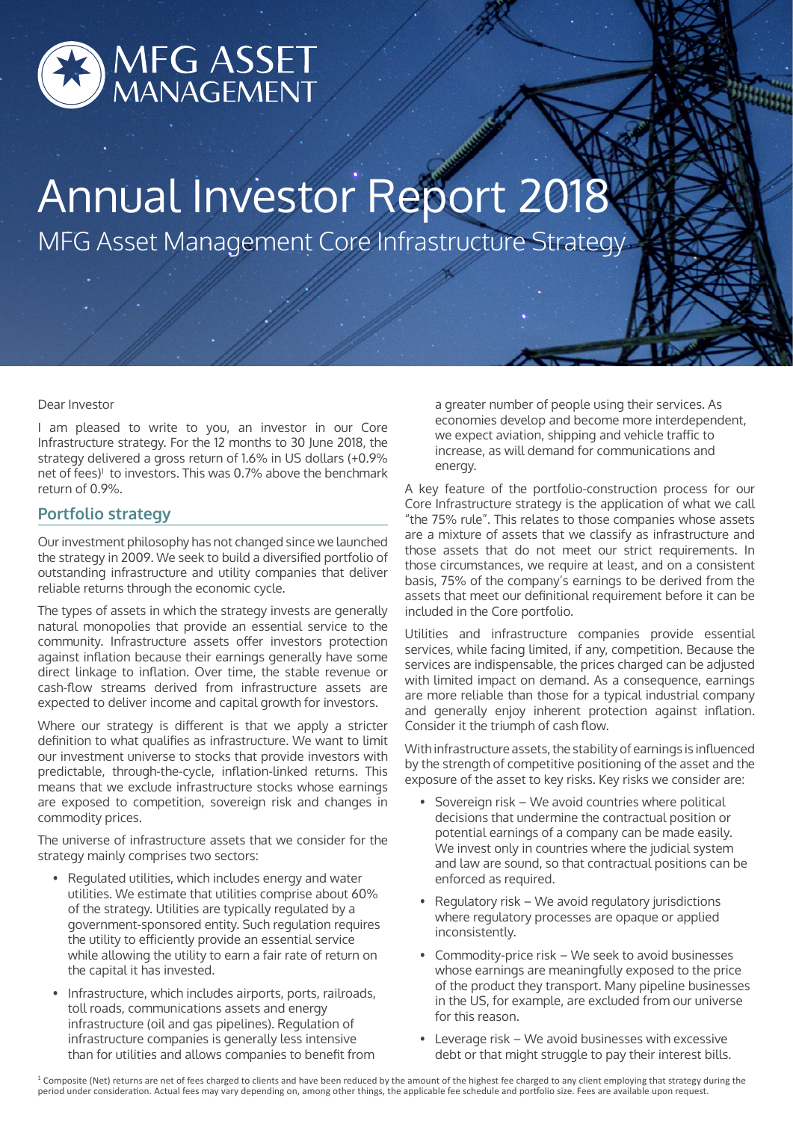

# Annual Investor Report 2018 MFG Asset Management Core Infrastructure Strategy

Dear Investor

I am pleased to write to you, an investor in our Core Infrastructure strategy. For the 12 months to 30 June 2018, the strategy delivered a gross return of 1.6% in US dollars (+0.9% net of fees)<sup>1</sup> to investors. This was 0.7% above the benchmark return of 0.9%.

## **Portfolio strategy**

Our investment philosophy has not changed since we launched the strategy in 2009. We seek to build a diversified portfolio of outstanding infrastructure and utility companies that deliver reliable returns through the economic cycle.

The types of assets in which the strategy invests are generally natural monopolies that provide an essential service to the community. Infrastructure assets offer investors protection against inflation because their earnings generally have some direct linkage to inflation. Over time, the stable revenue or cash-flow streams derived from infrastructure assets are expected to deliver income and capital growth for investors.

Where our strategy is different is that we apply a stricter definition to what qualifies as infrastructure. We want to limit our investment universe to stocks that provide investors with predictable, through-the-cycle, inflation-linked returns. This means that we exclude infrastructure stocks whose earnings are exposed to competition, sovereign risk and changes in commodity prices.

The universe of infrastructure assets that we consider for the strategy mainly comprises two sectors:

- Regulated utilities, which includes energy and water utilities. We estimate that utilities comprise about 60% of the strategy. Utilities are typically regulated by a government-sponsored entity. Such regulation requires the utility to efficiently provide an essential service while allowing the utility to earn a fair rate of return on the capital it has invested.
- Infrastructure, which includes airports, ports, railroads, toll roads, communications assets and energy infrastructure (oil and gas pipelines). Regulation of infrastructure companies is generally less intensive than for utilities and allows companies to benefit from

a greater number of people using their services. As economies develop and become more interdependent, we expect aviation, shipping and vehicle traffic to increase, as will demand for communications and energy.

A key feature of the portfolio-construction process for our Core Infrastructure strategy is the application of what we call "the 75% rule". This relates to those companies whose assets are a mixture of assets that we classify as infrastructure and those assets that do not meet our strict requirements. In those circumstances, we require at least, and on a consistent basis, 75% of the company's earnings to be derived from the assets that meet our definitional requirement before it can be included in the Core portfolio.

Utilities and infrastructure companies provide essential services, while facing limited, if any, competition. Because the services are indispensable, the prices charged can be adjusted with limited impact on demand. As a consequence, earnings are more reliable than those for a typical industrial company and generally enjoy inherent protection against inflation. Consider it the triumph of cash flow.

With infrastructure assets, the stability of earnings is influenced by the strength of competitive positioning of the asset and the exposure of the asset to key risks. Key risks we consider are:

- Sovereign risk We avoid countries where political decisions that undermine the contractual position or potential earnings of a company can be made easily. We invest only in countries where the judicial system and law are sound, so that contractual positions can be enforced as required.
- Regulatory risk We avoid regulatory jurisdictions where regulatory processes are opaque or applied inconsistently.
- Commodity-price risk We seek to avoid businesses whose earnings are meaningfully exposed to the price of the product they transport. Many pipeline businesses in the US, for example, are excluded from our universe for this reason.
- Leverage risk We avoid businesses with excessive debt or that might struggle to pay their interest bills.

<sup>1</sup> Composite (Net) returns are net of fees charged to clients and have been reduced by the amount of the highest fee charged to any client employing that strategy during the period under consideration. Actual fees may vary depending on, among other things, the applicable fee schedule and portfolio size. Fees are available upon request.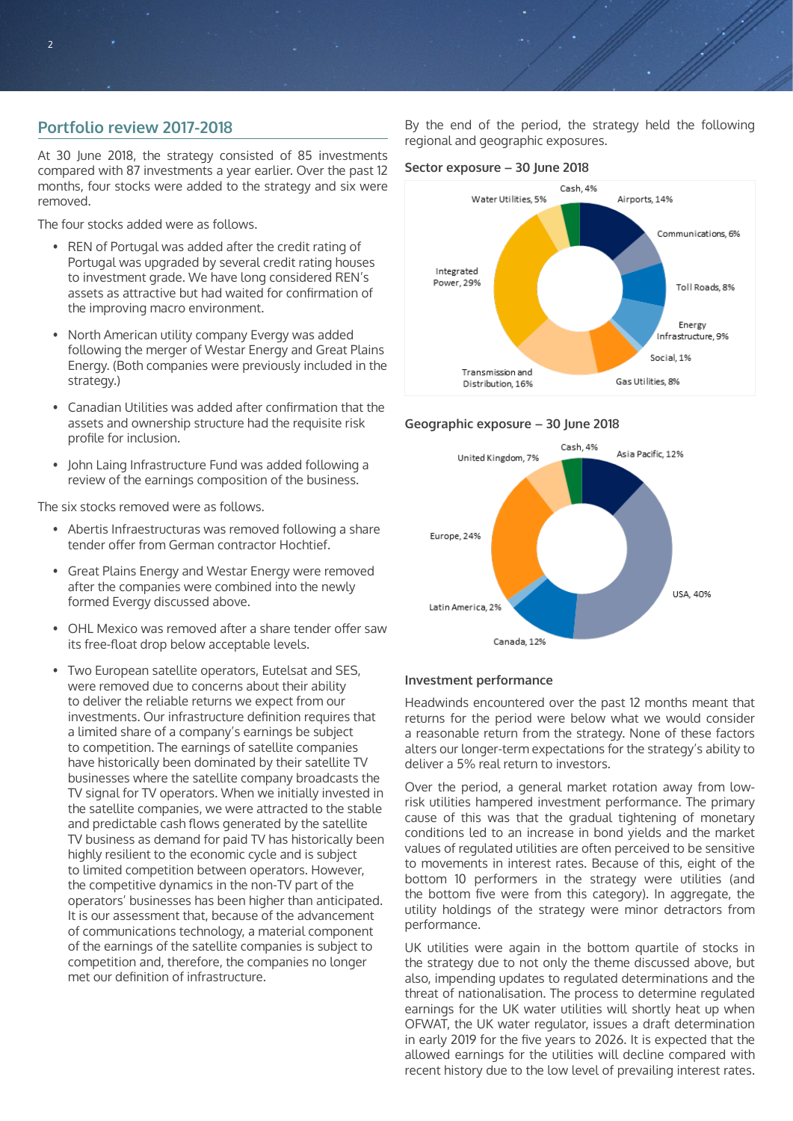# **Portfolio review 2017-2018**

2

At 30 June 2018, the strategy consisted of 85 investments compared with 87 investments a year earlier. Over the past 12 months, four stocks were added to the strategy and six were removed.

The four stocks added were as follows.

- REN of Portugal was added after the credit rating of Portugal was upgraded by several credit rating houses to investment grade. We have long considered REN's assets as attractive but had waited for confirmation of the improving macro environment.
- North American utility company Evergy was added following the merger of Westar Energy and Great Plains Energy. (Both companies were previously included in the strategy.)
- Canadian Utilities was added after confirmation that the assets and ownership structure had the requisite risk profile for inclusion.
- John Laing Infrastructure Fund was added following a review of the earnings composition of the business.

The six stocks removed were as follows.

- Abertis Infraestructuras was removed following a share tender offer from German contractor Hochtief.
- Great Plains Energy and Westar Energy were removed after the companies were combined into the newly formed Evergy discussed above.
- OHL Mexico was removed after a share tender offer saw its free-float drop below acceptable levels.
- Two European satellite operators, Eutelsat and SES, were removed due to concerns about their ability to deliver the reliable returns we expect from our investments. Our infrastructure definition requires that a limited share of a company's earnings be subject to competition. The earnings of satellite companies have historically been dominated by their satellite TV businesses where the satellite company broadcasts the TV signal for TV operators. When we initially invested in the satellite companies, we were attracted to the stable and predictable cash flows generated by the satellite TV business as demand for paid TV has historically been highly resilient to the economic cycle and is subject to limited competition between operators. However, the competitive dynamics in the non-TV part of the operators' businesses has been higher than anticipated. It is our assessment that, because of the advancement of communications technology, a material component of the earnings of the satellite companies is subject to competition and, therefore, the companies no longer met our definition of infrastructure.

By the end of the period, the strategy held the following regional and geographic exposures.

**Sector exposure – 30 June 2018**



## **Geographic exposure – 30 June 2018**



#### **Investment performance**

Headwinds encountered over the past 12 months meant that returns for the period were below what we would consider a reasonable return from the strategy. None of these factors alters our longer-term expectations for the strategy's ability to deliver a 5% real return to investors.

Over the period, a general market rotation away from lowrisk utilities hampered investment performance. The primary cause of this was that the gradual tightening of monetary conditions led to an increase in bond yields and the market values of regulated utilities are often perceived to be sensitive to movements in interest rates. Because of this, eight of the bottom 10 performers in the strategy were utilities (and the bottom five were from this category). In aggregate, the utility holdings of the strategy were minor detractors from performance.

UK utilities were again in the bottom quartile of stocks in the strategy due to not only the theme discussed above, but also, impending updates to regulated determinations and the threat of nationalisation. The process to determine regulated earnings for the UK water utilities will shortly heat up when OFWAT, the UK water regulator, issues a draft determination in early 2019 for the five years to 2026. It is expected that the allowed earnings for the utilities will decline compared with recent history due to the low level of prevailing interest rates.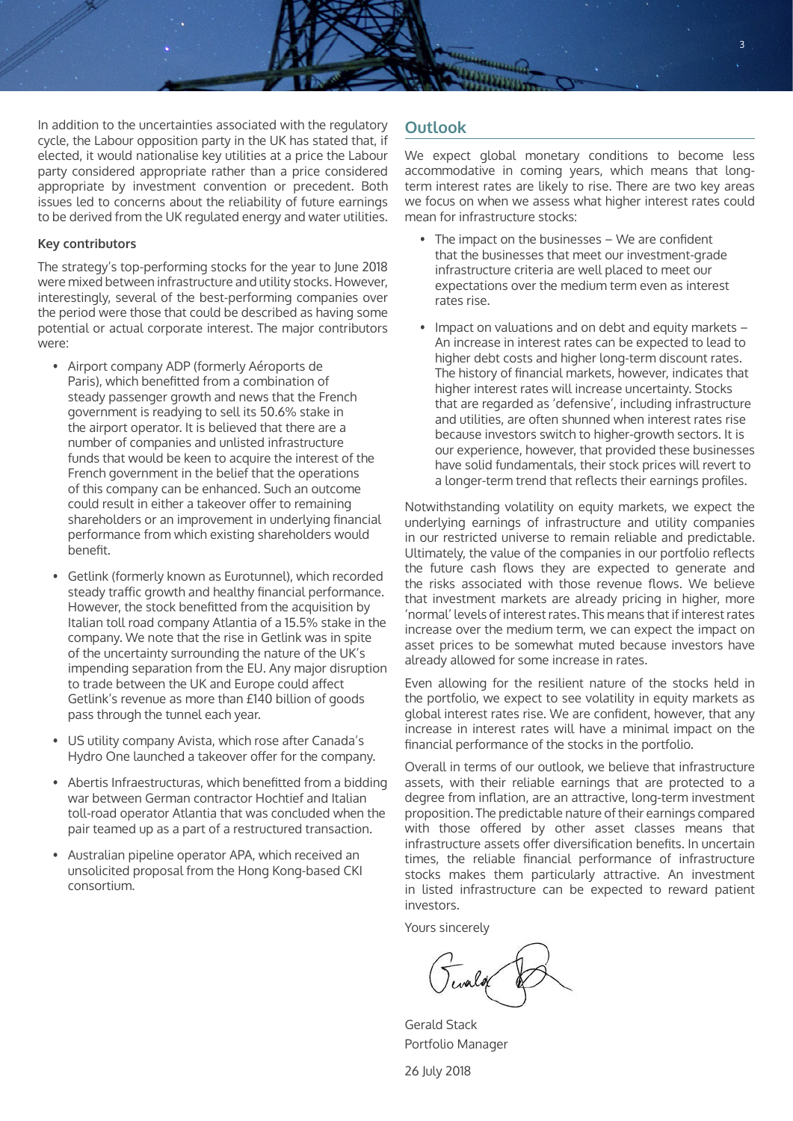

In addition to the uncertainties associated with the regulatory cycle, the Labour opposition party in the UK has stated that, if elected, it would nationalise key utilities at a price the Labour party considered appropriate rather than a price considered appropriate by investment convention or precedent. Both issues led to concerns about the reliability of future earnings to be derived from the UK regulated energy and water utilities.

#### **Key contributors**

The strategy's top-performing stocks for the year to June 2018 were mixed between infrastructure and utility stocks. However, interestingly, several of the best-performing companies over the period were those that could be described as having some potential or actual corporate interest. The major contributors were:

- Airport company ADP (formerly Aéroports de Paris), which benefitted from a combination of steady passenger growth and news that the French government is readying to sell its 50.6% stake in the airport operator. It is believed that there are a number of companies and unlisted infrastructure funds that would be keen to acquire the interest of the French government in the belief that the operations of this company can be enhanced. Such an outcome could result in either a takeover offer to remaining shareholders or an improvement in underlying financial performance from which existing shareholders would benefit.
- Getlink (formerly known as Eurotunnel), which recorded steady traffic growth and healthy financial performance. However, the stock benefitted from the acquisition by Italian toll road company Atlantia of a 15.5% stake in the company. We note that the rise in Getlink was in spite of the uncertainty surrounding the nature of the UK's impending separation from the EU. Any major disruption to trade between the UK and Europe could affect Getlink's revenue as more than £140 billion of goods pass through the tunnel each year.
- US utility company Avista, which rose after Canada's Hydro One launched a takeover offer for the company.
- Abertis Infraestructuras, which benefitted from a bidding war between German contractor Hochtief and Italian toll-road operator Atlantia that was concluded when the pair teamed up as a part of a restructured transaction.
- Australian pipeline operator APA, which received an unsolicited proposal from the Hong Kong-based CKI consortium.

## **Outlook**

We expect global monetary conditions to become less accommodative in coming years, which means that longterm interest rates are likely to rise. There are two key areas we focus on when we assess what higher interest rates could mean for infrastructure stocks:

- The impact on the businesses We are confident that the businesses that meet our investment-grade infrastructure criteria are well placed to meet our expectations over the medium term even as interest rates rise.
- Impact on valuations and on debt and equity markets An increase in interest rates can be expected to lead to higher debt costs and higher long-term discount rates. The history of financial markets, however, indicates that higher interest rates will increase uncertainty. Stocks that are regarded as 'defensive', including infrastructure and utilities, are often shunned when interest rates rise because investors switch to higher-growth sectors. It is our experience, however, that provided these businesses have solid fundamentals, their stock prices will revert to a longer-term trend that reflects their earnings profiles.

Notwithstanding volatility on equity markets, we expect the underlying earnings of infrastructure and utility companies in our restricted universe to remain reliable and predictable. Ultimately, the value of the companies in our portfolio reflects the future cash flows they are expected to generate and the risks associated with those revenue flows. We believe that investment markets are already pricing in higher, more 'normal' levels of interest rates. This means that if interest rates increase over the medium term, we can expect the impact on asset prices to be somewhat muted because investors have already allowed for some increase in rates.

Even allowing for the resilient nature of the stocks held in the portfolio, we expect to see volatility in equity markets as global interest rates rise. We are confident, however, that any increase in interest rates will have a minimal impact on the financial performance of the stocks in the portfolio.

Overall in terms of our outlook, we believe that infrastructure assets, with their reliable earnings that are protected to a degree from inflation, are an attractive, long-term investment proposition. The predictable nature of their earnings compared with those offered by other asset classes means that infrastructure assets offer diversification benefits. In uncertain times, the reliable financial performance of infrastructure stocks makes them particularly attractive. An investment in listed infrastructure can be expected to reward patient investors.

Yours sincerely

Gerald Stack Portfolio Manager

26 July 2018